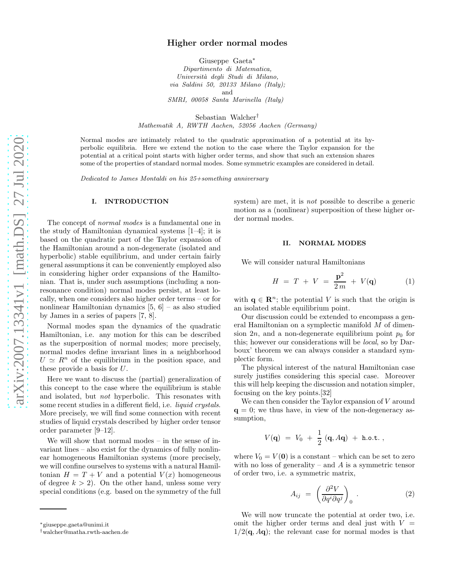# Higher order normal modes

Giuseppe Gaeta<sup>∗</sup> Dipartimento di Matematica, Università degli Studi di Milano, via Saldini 50, 20133 Milano (Italy); and

SMRI, 00058 Santa Marinella (Italy)

Sebastian Walcher†

Mathematik A, RWTH Aachen, 52056 Aachen (Germany)

Normal modes are intimately related to the quadratic approximation of a potential at its hyperbolic equilibria. Here we extend the notion to the case where the Taylor expansion for the potential at a critical point starts with higher order terms, and show that such an extension shares some of the properties of standard normal modes. Some symmetric examples are considered in detail.

Dedicated to James Montaldi on his 25+something anniversary

## I. INTRODUCTION

The concept of normal modes is a fundamental one in the study of Hamiltonian dynamical systems [1–4]; it is based on the quadratic part of the Taylor expansion of the Hamiltonian around a non-degenerate (isolated and hyperbolic) stable equilibrium, and under certain fairly general assumptions it can be conveniently employed also in considering higher order expansions of the Hamiltonian. That is, under such assumptions (including a nonresonance condition) normal modes persist, at least locally, when one considers also higher order terms – or for nonlinear Hamiltonian dynamics [5, 6] – as also studied by James in a series of papers [7, 8].

Normal modes span the dynamics of the quadratic Hamiltonian, i.e. any motion for this can be described as the superposition of normal modes; more precisely, normal modes define invariant lines in a neighborhood  $U \simeq R^n$  of the equilibrium in the position space, and these provide a basis for U.

Here we want to discuss the (partial) generalization of this concept to the case where the equilibrium is stable and isolated, but not hyperbolic. This resonates with some recent studies in a different field, i.e. *liquid crystals*. More precisely, we will find some connection with recent studies of liquid crystals described by higher order tensor order parameter [9–12].

We will show that normal modes – in the sense of invariant lines – also exist for the dynamics of fully nonlinear homogeneous Hamiltonian systems (more precisely, we will confine ourselves to systems with a natural Hamiltonian  $H = T + V$  and a potential  $V(x)$  homogeneous of degree  $k > 2$ ). On the other hand, unless some very special conditions (e.g. based on the symmetry of the full

system) are met, it is *not* possible to describe a generic motion as a (nonlinear) superposition of these higher order normal modes.

### II. NORMAL MODES

We will consider natural Hamiltonians

$$
H = T + V = \frac{\mathbf{p}^2}{2m} + V(\mathbf{q}) \tag{1}
$$

with  $q \in \mathbb{R}^n$ ; the potential V is such that the origin is an isolated stable equilibrium point.

Our discussion could be extended to encompass a general Hamiltonian on a symplectic manifold M of dimension  $2n$ , and a non-degenerate equilibrium point  $p_0$  for this; however our considerations will be local, so by Darboux' theorem we can always consider a standard symplectic form.

The physical interest of the natural Hamiltonian case surely justifies considering this special case. Moreover this will help keeping the discussion and notation simpler, focusing on the key points.[32]

We can then consider the Taylor expansion of V around  $q = 0$ ; we thus have, in view of the non-degeneracy assumption,

$$
V({\bf q})\ =\ V_0\ +\ {1\over 2}\ ({\bf q},A{\bf q})\ +\ {\rm h.o.t.}\ ,
$$

where  $V_0 = V(0)$  is a constant – which can be set to zero with no loss of generality – and  $A$  is a symmetric tensor of order two, i.e. a symmetric matrix,

$$
A_{ij} = \left(\frac{\partial^2 V}{\partial q^i \partial q^j}\right)_0 . \tag{2}
$$

We will now truncate the potential at order two, i.e. omit the higher order terms and deal just with  $V =$  $1/2(q, Aq)$ ; the relevant case for normal modes is that

<sup>∗</sup>giuseppe.gaeta@unimi.it

<sup>†</sup>walcher@matha.rwth-aachen.de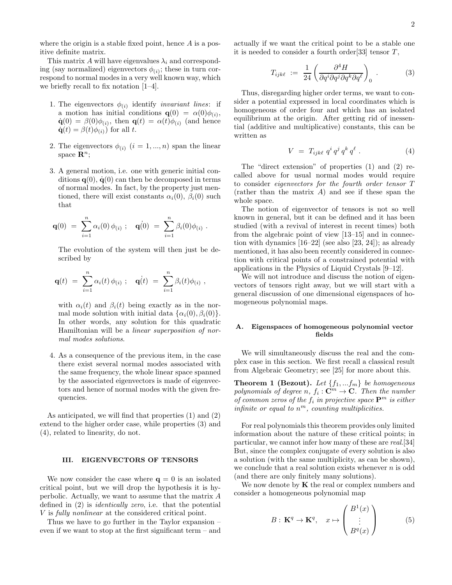where the origin is a stable fixed point, hence  $A$  is a positive definite matrix.

This matrix A will have eigenvalues  $\lambda_i$  and corresponding (say normalized) eigenvectors  $\phi_{(i)}$ ; these in turn correspond to normal modes in a very well known way, which we briefly recall to fix notation [1–4].

- 1. The eigenvectors  $\phi_{(i)}$  identify *invariant lines*: if a motion has initial conditions  $\mathbf{q}(0) = \alpha(0)\phi_{(i)},$  $\dot{\mathbf{q}}(0) = \beta(0)\phi_{(i)}$ , then  $\mathbf{q}(t) = \alpha(t)\phi_{(i)}$  (and hence  $\dot{\mathbf{q}}(t) = \beta(t)\phi_{(i)}$  for all t.
- 2. The eigenvectors  $\phi_{(i)}$   $(i = 1, ..., n)$  span the linear space  $\mathbf{R}^n$ ;
- 3. A general motion, i.e. one with generic initial conditions  $q(0)$ ,  $\dot{q}(0)$  can then be decomposed in terms of normal modes. In fact, by the property just mentioned, there will exist constants  $\alpha_i(0)$ ,  $\beta_i(0)$  such that

$$
\mathbf{q}(0) = \sum_{i=1}^{n} \alpha_i(0) \phi_{(i)}; \quad \mathbf{q}(0) = \sum_{i=1}^{n} \beta_i(0) \phi_{(i)}.
$$

The evolution of the system will then just be described by

$$
\mathbf{q}(t) = \sum_{i=1}^{n} \alpha_i(t) \phi_{(i)}; \quad \mathbf{q}(t) = \sum_{i=1}^{n} \beta_i(t) \phi_{(i)} ,
$$

with  $\alpha_i(t)$  and  $\beta_i(t)$  being exactly as in the normal mode solution with initial data  $\{\alpha_i(0), \beta_i(0)\}.$ In other words, any solution for this quadratic Hamiltonian will be a linear superposition of normal modes solutions.

4. As a consequence of the previous item, in the case there exist several normal modes associated with the same frequency, the whole linear space spanned by the associated eigenvectors is made of eigenvectors and hence of normal modes with the given frequencies.

As anticipated, we will find that properties (1) and (2) extend to the higher order case, while properties (3) and (4), related to linearity, do not.

#### III. EIGENVECTORS OF TENSORS

We now consider the case where  $q = 0$  is an isolated critical point, but we will drop the hypothesis it is hyperbolic. Actually, we want to assume that the matrix A defined in (2) is identically zero, i.e. that the potential V is fully nonlinear at the considered critical point.

Thus we have to go further in the Taylor expansion – even if we want to stop at the first significant term – and actually if we want the critical point to be a stable one it is needed to consider a fourth order  $[33]$  tensor T,

$$
T_{ijk\ell} := \frac{1}{24} \left( \frac{\partial^4 H}{\partial q^i \partial q^j \partial q^k \partial q^\ell} \right)_0 . \tag{3}
$$

Thus, disregarding higher order terms, we want to consider a potential expressed in local coordinates which is homogeneous of order four and which has an isolated equilibrium at the origin. After getting rid of inessential (additive and multiplicative) constants, this can be written as

$$
V = T_{ijk\ell} q^i q^j q^k q^\ell . \qquad (4)
$$

The "direct extension" of properties (1) and (2) recalled above for usual normal modes would require to consider eigenvectors for the fourth order tensor T (rather than the matrix  $A$ ) and see if these span the whole space.

The notion of eigenvector of tensors is not so well known in general, but it can be defined and it has been studied (with a revival of interest in recent times) both from the algebraic point of view [13–15] and in connection with dynamics [16–22] (see also [23, 24]); as already mentioned, it has also been recently considered in connection with critical points of a constrained potential with applications in the Physics of Liquid Crystals [9–12].

We will not introduce and discuss the notion of eigenvectors of tensors right away, but we will start with a general discussion of one dimensional eigenspaces of homogeneous polynomial maps.

### A. Eigenspaces of homogeneous polynomial vector fields

We will simultaneously discuss the real and the complex case in this section. We first recall a classical result from Algebraic Geometry; see [25] for more about this.

**Theorem 1 (Bezout).** Let  $\{f_1, \ldots, f_m\}$  be homogeneous polynomials of degree  $n, f_i : \mathbf{C}^m \to \mathbf{C}$ . Then the number of common zeros of the  $f_i$  in projective space  $\mathbf{P}^m$  is either infinite or equal to  $n^m$ , counting multiplicities.

For real polynomials this theorem provides only limited information about the nature of these critical points; in particular, we cannot infer how many of these are real.[34] But, since the complex conjugate of every solution is also a solution (with the same multiplicity, as can be shown), we conclude that a real solution exists whenever  $n$  is odd (and there are only finitely many solutions).

We now denote by  $\bf{K}$  the real or complex numbers and consider a homogeneous polynomial map

$$
B: \mathbf{K}^{q} \to \mathbf{K}^{q}, \quad x \mapsto \begin{pmatrix} B^{1}(x) \\ \vdots \\ B^{q}(x) \end{pmatrix}
$$
 (5)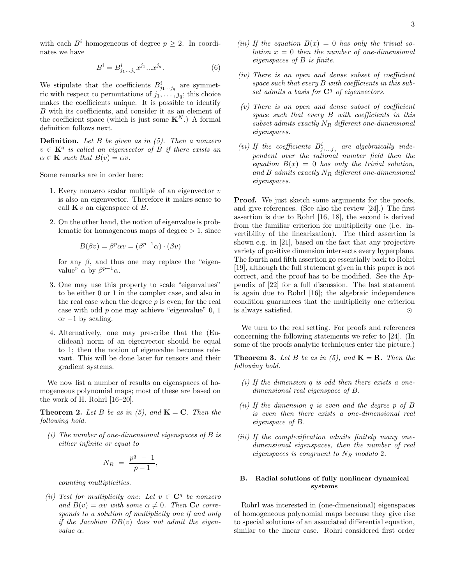with each  $B^i$  homogeneous of degree  $p \geq 2$ . In coordinates we have

$$
B^{i} = B^{i}_{j_{1}...j_{q}} x^{j_{1}} ... x^{j_{q}}.
$$
 (6)

We stipulate that the coefficients  $B^i_{j_1...j_q}$  are symmetric with respect to permutations of  $j_1, \ldots, j_q$ ; this choice makes the coefficients unique. It is possible to identify B with its coefficients, and consider it as an element of the coefficient space (which is just some  $\mathbf{K}^{N}$ .) A formal definition follows next.

**Definition.** Let  $B$  be given as in  $(5)$ . Then a nonzero  $v \in \mathbf{K}^q$  is called an eigenvector of B if there exists an  $\alpha \in \mathbf{K}$  such that  $B(v) = \alpha v$ .

Some remarks are in order here:

- 1. Every nonzero scalar multiple of an eigenvector  $v$ is also an eigenvector. Therefore it makes sense to call  $\mathbf{K} v$  an eigenspace of  $B$ .
- 2. On the other hand, the notion of eigenvalue is problematic for homogeneous maps of degree  $> 1$ , since

$$
B(\beta v) = \beta^p \alpha v = (\beta^{p-1} \alpha) \cdot (\beta v)
$$

for any  $\beta$ , and thus one may replace the "eigenvalue"  $\alpha$  by  $\beta^{p-1}\alpha$ .

- 3. One may use this property to scale "eigenvalues" to be either 0 or 1 in the complex case, and also in the real case when the degree  $p$  is even; for the real case with odd p one may achieve "eigenvalue" 0, 1 or  $-1$  by scaling.
- 4. Alternatively, one may prescribe that the (Euclidean) norm of an eigenvector should be equal to 1; then the notion of eigenvalue becomes relevant. This will be done later for tensors and their gradient systems.

We now list a number of results on eigenspaces of homogeneous polynomial maps; most of these are based on the work of H. Rohrl [16–20].

**Theorem 2.** Let B be as in (5), and  $\mathbf{K} = \mathbf{C}$ . Then the following hold.

(i) The number of one-dimensional eigenspaces of  $B$  is either infinite or equal to

,

$$
N_R = \frac{p^q - 1}{p - 1}
$$

counting multiplicities.

(ii) Test for multiplicity one: Let  $v \in \mathbb{C}^q$  be nonzero and  $B(v) = \alpha v$  with some  $\alpha \neq 0$ . Then  $Cv$  corresponds to a solution of multiplicity one if and only if the Jacobian  $DB(v)$  does not admit the eigenvalue α.

- (iii) If the equation  $B(x) = 0$  has only the trivial solution  $x = 0$  then the number of one-dimensional eigenspaces of B is finite.
- (iv) There is an open and dense subset of coefficient space such that every B with coefficients in this subset admits a basis for  $\mathbb{C}^q$  of eigenvectors.
- $(v)$  There is an open and dense subset of coefficient space such that every B with coefficients in this subset admits exactly  $N_R$  different one-dimensional eigenspaces.
- (vi) If the coefficients  $B^i_{j_1...j_q}$  are algebraically independent over the rational number field then the equation  $B(x) = 0$  has only the trivial solution, and B admits exactly  $N_R$  different one-dimensional eigenspaces.

**Proof.** We just sketch some arguments for the proofs, and give references. (See also the review [24].) The first assertion is due to Rohrl [16, 18], the second is derived from the familiar criterion for multiplicity one (i.e. invertibility of the linearization). The third assertion is shown e.g. in [21], based on the fact that any projective variety of positive dimension intersects every hyperplane. The fourth and fifth assertion go essentially back to Rohrl [19], although the full statement given in this paper is not correct, and the proof has to be modified. See the Appendix of [22] for a full discussion. The last statement is again due to Rohrl [16]; the algebraic independence condition guarantees that the multiplicity one criterion is always satisfied. ⊙

We turn to the real setting. For proofs and references concerning the following statements we refer to [24]. (In some of the proofs analytic techniques enter the picture.)

**Theorem 3.** Let B be as in (5), and  $\mathbf{K} = \mathbf{R}$ . Then the following hold.

- (i) If the dimension  $q$  is odd then there exists a onedimensional real eigenspace of B.
- (ii) If the dimension q is even and the degree  $p$  of  $B$ is even then there exists a one-dimensional real eigenspace of B.
- (iii) If the complexification admits finitely many onedimensional eigenspaces, then the number of real eigenspaces is congruent to  $N_R$  modulo 2.

# B. Radial solutions of fully nonlinear dynamical systems

Rohrl was interested in (one-dimensional) eigenspaces of homogeneous polynomial maps because they give rise to special solutions of an associated differential equation, similar to the linear case. Rohrl considered first order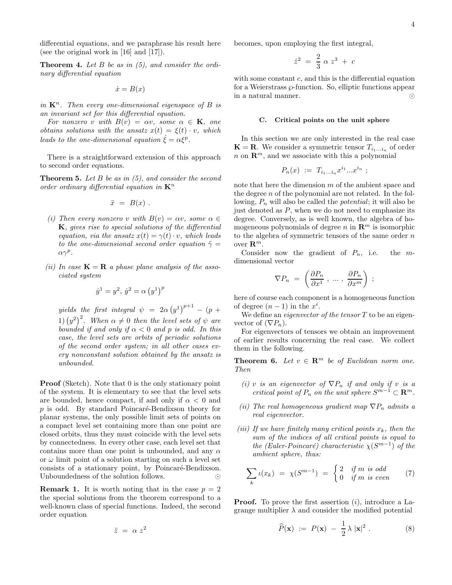differential equations, and we paraphrase his result here (see the original work in [16] and [17]).

**Theorem 4.** Let  $B$  be as in  $(5)$ , and consider the ordinary differential equation

$$
\dot{x} = B(x)
$$

in  $\mathbf{K}^n$ . Then every one-dimensional eigenspace of B is an invariant set for this differential equation.

For nonzero v with  $B(v) = \alpha v$ , some  $\alpha \in \mathbf{K}$ , one obtains solutions with the ansatz  $x(t) = \xi(t) \cdot v$ , which leads to the one-dimensional equation  $\dot{\xi} = \alpha \xi^p$ .

There is a straightforward extension of this approach to second order equations.

**Theorem 5.** Let  $B$  be as in  $(5)$ , and consider the second order ordinary differential equation in  $\mathbf{K}^n$ 

$$
\ddot{x} = B(x) .
$$

- (i) Then every nonzero v with  $B(v) = \alpha v$ , some  $\alpha \in$  $K$ , gives rise to special solutions of the differential equation, via the ansatz  $x(t) = \gamma(t) \cdot v$ , which leads to the one-dimensional second order equation  $\ddot{\gamma}$  =  $\alpha \gamma^p$ .
- (ii) In case  $\mathbf{K} = \mathbf{R}$  a phase plane analysis of the associated system

$$
\dot{y}^1 = y^2, \, \dot{y}^2 = \alpha \left( y^1 \right)^p
$$

yields the first integral  $\psi = 2\alpha (y^1)^{p+1} - (p +$ 1)  $(y^2)^2$ . When  $\alpha \neq 0$  then the level sets of  $\psi$  are bounded if and only if  $\alpha < 0$  and p is odd. In this case, the level sets are orbits of periodic solutions of the second order system; in all other cases every nonconstant solution obtained by the ansatz is unbounded.

**Proof** (Sketch). Note that 0 is the only stationary point of the system. It is elementary to see that the level sets are bounded, hence compact, if and only if  $\alpha < 0$  and  $p$  is odd. By standard Poincaré-Bendixson theory for planar systems, the only possible limit sets of points on a compact level set containing more than one point are closed orbits, thus they must coincide with the level sets by connectedness. In every other case, each level set that contains more than one point is unbounded, and any  $\alpha$ or  $\omega$  limit point of a solution starting on such a level set consists of a stationary point, by Poincaré-Bendixson. Unboundedness of the solution follows. ⊙

**Remark 1.** It is worth noting that in the case  $p = 2$ the special solutions from the theorem correspond to a well-known class of special functions. Indeed, the second order equation

$$
\ddot{z} = \alpha z^2
$$

becomes, upon employing the first integral,

$$
\dot{z}^2\ =\ \frac{2}{3}\ \alpha\ z^3\ +\ c
$$

with some constant c, and this is the differential equation for a Weierstrass  $\wp$ -function. So, elliptic functions appear in a natural manner. ⊙

#### C. Critical points on the unit sphere

In this section we are only interested in the real case  $\mathbf{K} = \mathbf{R}$ . We consider a symmetric tensor  $T_{i_1...i_n}$  of order  $n$  on  $\mathbb{R}^m$ , and we associate with this a polynomial

$$
P_n(x) := T_{i_1...i_n} x^{i_1} ... x^{i_n} ;
$$

note that here the dimension m of the ambient space and the degree  $n$  of the polynomial are not related. In the following,  $P_n$  will also be called the *potential*; it will also be just denoted as  $P$ , when we do not need to emphasize its degree. Conversely, as is well known, the algebra of homogeneous polynomials of degree n in  $\mathbb{R}^m$  is isomorphic to the algebra of symmetric tensors of the same order  $n$ over  $\mathbf{R}^m$ .

Consider now the gradient of  $P_n$ , i.e. the mdimensional vector

$$
\nabla P_n \ = \ \left(\frac{\partial P_n}{\partial x^1} \ , \ \ldots \ , \ \frac{\partial P_n}{\partial x^m}\right) \ ;
$$

here of course each component is a homogeneous function of degree  $(n-1)$  in the  $x^i$ .

We define an *eigenvector of the tensor*  $T$  to be an eigenvector of  $(\nabla P_n)$ .

For eigenvectors of tensors we obtain an improvement of earlier results concerning the real case. We collect them in the following.

**Theorem 6.** Let  $v \in \mathbb{R}^m$  be of Euclidean norm one. Then

- (i) v is an eigenvector of  $\nabla P_n$  if and only if v is a critical point of  $P_n$  on the unit sphere  $S^{m-1} \subset \mathbf{R}^m$ .
- (ii) The real homogeneous gradient map  $\nabla P_n$  admits a real eigenvector.
- (iii) If we have finitely many critical points  $x_k$ , then the sum of the indices of all critical points is equal to the (Euler-Poincaré) characteristic  $\chi(S^{m-1})$  of the ambient sphere, thus:

$$
\sum_{k} \iota(x_k) = \chi(S^{m-1}) = \begin{cases} 2 & \text{if } m \text{ is odd} \\ 0 & \text{if } m \text{ is even} \end{cases} \tag{7}
$$

**Proof.** To prove the first assertion  $(i)$ , introduce a Lagrange multiplier  $\lambda$  and consider the modified potential

$$
\widehat{P}(\mathbf{x}) \ := \ P(\mathbf{x}) \ - \ \frac{1}{2} \lambda \ |\mathbf{x}|^2 \ . \tag{8}
$$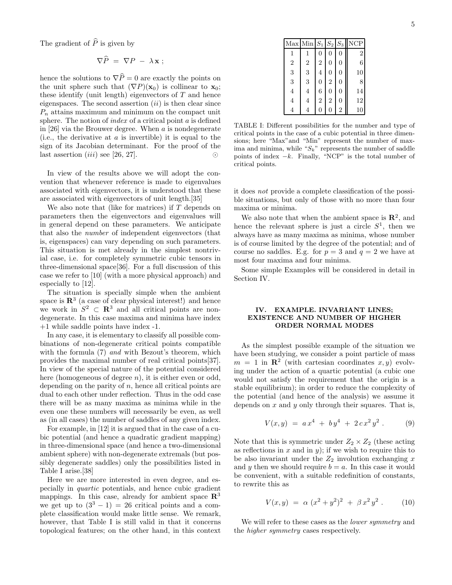The gradient of  $\widehat{P}$  is given by

$$
\nabla \tilde{P} = \nabla P - \lambda \mathbf{x};
$$

hence the solutions to  $\nabla \widehat{P} = 0$  are exactly the points on the unit sphere such that  $(\nabla P)(\mathbf{x}_0)$  is collinear to  $\mathbf{x}_0$ ; these identify (unit length) eigenvectors of  $T$  and hence eigenspaces. The second assertion  $(ii)$  is then clear since  $P_n$  attains maximum and minimum on the compact unit sphere. The notion of *index* of a critical point  $a$  is defined in [26] via the Brouwer degree. When  $a$  is nondegenerate (i.e., the derivative at  $a$  is invertible) it is equal to the sign of its Jacobian determinant. For the proof of the last assertion  $(iii)$  see [26, 27]. ◯

In view of the results above we will adopt the convention that whenever reference is made to eigenvalues associated with eigenvectors, it is understood that these are associated with eigenvectors of unit length.[35]

We also note that (like for matrices) if  $T$  depends on parameters then the eigenvectors and eigenvalues will in general depend on these parameters. We anticipate that also the number of independent eigenvectors (that is, eigenspaces) can vary depending on such parameters. This situation is met already in the simplest nontrivial case, i.e. for completely symmetric cubic tensors in three-dimensional space[36]. For a full discussion of this case we refer to [10] (with a more physical approach) and especially to [12].

The situation is specially simple when the ambient space is  $\mathbb{R}^3$  (a case of clear physical interest!) and hence we work in  $S^2 \subset \mathbb{R}^3$  and all critical points are nondegenerate. In this case maxima and minima have index +1 while saddle points have index -1.

In any case, it is elementary to classify all possible combinations of non-degenerate critical points compatible with the formula  $(7)$  and with Bezout's theorem, which provides the maximal number of real critical points[37]. In view of the special nature of the potential considered here (homogeneous of degree n), it is either even or odd, depending on the parity of  $n$ , hence all critical points are dual to each other under reflection. Thus in the odd case there will be as many maxima as minima while in the even one these numbers will necessarily be even, as well as (in all cases) the number of saddles of any given index.

For example, in [12] it is argued that in the case of a cubic potential (and hence a quadratic gradient mapping) in three-dimensional space (and hence a two-dimensional ambient sphere) with non-degenerate extremals (but possibly degenerate saddles) only the possibilities listed in Table I arise.[38]

Here we are more interested in even degree, and especially in quartic potentials, and hence cubic gradient mappings. In this case, already for ambient space  $\mathbb{R}^3$ we get up to  $(3^3 - 1) = 26$  critical points and a complete classification would make little sense. We remark, however, that Table I is still valid in that it concerns topological features; on the other hand, in this context

|                | Max Min $S_1$ $S_2$ $S_3$ |                |                |                | <b>NCP</b>     |
|----------------|---------------------------|----------------|----------------|----------------|----------------|
| 1              |                           | 0              | 0              | 0              | $\overline{2}$ |
| $\overline{2}$ | $\overline{2}$            | $\overline{2}$ | 0              | 0              | 6              |
| 3              | 3                         | 4              | 0              | $\overline{0}$ | 10             |
| 3              | 3                         | 0              | $\overline{2}$ | 0              | 8              |
| 4              | 4                         | 6              | 0              | 0              | 14             |
| 4              | 4                         | $\overline{2}$ | $\overline{2}$ | $\overline{0}$ | 12             |
|                |                           | 0              |                | $\overline{2}$ | 10             |

TABLE I: Different possibilities for the number and type of critical points in the case of a cubic potential in three dimensions; here "Max"and "Min" represent the number of maxima and minima, while " $S_k$ " represents the number of saddle points of index  $-k$ . Finally, "NCP" is the total number of critical points.

it does not provide a complete classification of the possible situations, but only of those with no more than four maxima or minima.

We also note that when the ambient space is  $\mathbb{R}^2$ , and hence the relevant sphere is just a circle  $S<sup>1</sup>$ , then we always have as many maxima as minima, whose number is of course limited by the degree of the potential; and of course no saddles. E.g. for  $p = 3$  and  $q = 2$  we have at most four maxima and four minima.

Some simple Examples will be considered in detail in Section IV.

### IV. EXAMPLE. INVARIANT LINES; EXISTENCE AND NUMBER OF HIGHER ORDER NORMAL MODES

As the simplest possible example of the situation we have been studying, we consider a point particle of mass  $m = 1$  in  $\mathbb{R}^2$  (with cartesian coordinates  $x, y$ ) evolving under the action of a quartic potential (a cubic one would not satisfy the requirement that the origin is a stable equilibrium); in order to reduce the complexity of the potential (and hence of the analysis) we assume it depends on  $x$  and  $y$  only through their squares. That is,

$$
V(x,y) = a x4 + b y4 + 2 c x2 y2.
$$
 (9)

Note that this is symmetric under  $Z_2 \times Z_2$  (these acting as reflections in  $x$  and in  $y$ ); if we wish to require this to be also invariant under the  $Z_2$  involution exchanging x and y then we should require  $b = a$ . In this case it would be convenient, with a suitable redefinition of constants, to rewrite this as

$$
V(x,y) = \alpha (x^2 + y^2)^2 + \beta x^2 y^2.
$$
 (10)

We will refer to these cases as the *lower symmetry* and the higher symmetry cases respectively.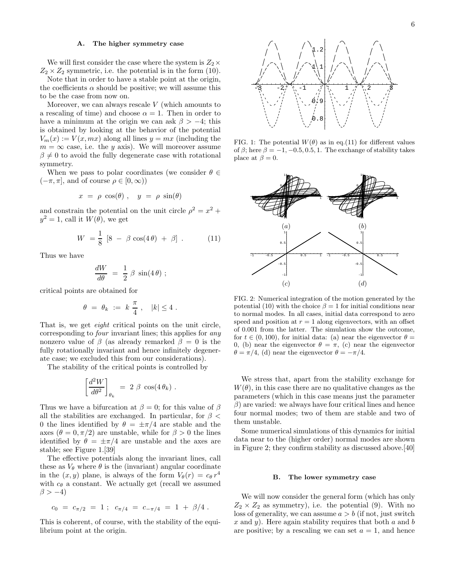#### A. The higher symmetry case

We will first consider the case where the system is  $Z_2\times$  $Z_2 \times Z_2$  symmetric, i.e. the potential is in the form (10).

Note that in order to have a stable point at the origin, the coefficients  $\alpha$  should be positive; we will assume this to be the case from now on.

Moreover, we can always rescale  $V$  (which amounts to a rescaling of time) and choose  $\alpha = 1$ . Then in order to have a minimum at the origin we can ask  $\beta > -4$ ; this is obtained by looking at the behavior of the potential  $V_m(x) := V(x, mx)$  along all lines  $y = mx$  (including the  $m = \infty$  case, i.e. the y axis). We will moreover assume  $\beta \neq 0$  to avoid the fully degenerate case with rotational symmetry.

When we pass to polar coordinates (we consider  $\theta \in$  $(-\pi, \pi]$ , and of course  $\rho \in [0, \infty)$ )

$$
x = \rho \cos(\theta) , y = \rho \sin(\theta)
$$

and constrain the potential on the unit circle  $\rho^2 = x^2 +$  $y^2 = 1$ , call it  $W(\theta)$ , we get

$$
W = \frac{1}{8} [8 - \beta \cos(4\theta) + \beta] . \tag{11}
$$

Thus we have

$$
\frac{dW}{d\theta} = \frac{1}{2} \beta \sin(4\theta) ;
$$

critical points are obtained for

$$
\theta = \theta_k := k \frac{\pi}{4}, \quad |k| \le 4.
$$

That is, we get eight critical points on the unit circle, corresponding to four invariant lines; this applies for any nonzero value of  $\beta$  (as already remarked  $\beta = 0$  is the fully rotationally invariant and hence infinitely degenerate case; we excluded this from our considerations).

The stability of the critical points is controlled by

$$
\left[\frac{d^2W}{d\theta^2}\right]_{\theta_k} \ = \ 2 \ \beta \ \cos(4 \, \theta_k) \ .
$$

Thus we have a bifurcation at  $\beta = 0$ ; for this value of  $\beta$ all the stabilities are exchanged. In particular, for  $\beta$  < 0 the lines identified by  $\theta = \pm \pi/4$  are stable and the axes  $(\theta = 0, \pi/2)$  are unstable, while for  $\beta > 0$  the lines identified by  $\theta = \pm \pi/4$  are unstable and the axes are stable; see Figure 1.[39]

The effective potentials along the invariant lines, call these as  $V_{\theta}$  where  $\theta$  is the (invariant) angular coordinate in the  $(x, y)$  plane, is always of the form  $V_{\theta}(r) = c_{\theta} r^4$ with  $c_{\theta}$  a constant. We actually get (recall we assumed  $\beta > -4$ )

$$
c_0 = c_{\pi/2} = 1 \; ; \; c_{\pi/4} = c_{-\pi/4} = 1 + \beta/4 \; .
$$

This is coherent, of course, with the stability of the equilibrium point at the origin.



FIG. 1: The potential  $W(\theta)$  as in eq.(11) for different values of  $\beta$ ; here  $\beta = -1, -0.5, 0.5, 1$ . The exchange of stability takes place at  $\beta = 0$ .



FIG. 2: Numerical integration of the motion generated by the potential (10) with the choice  $\beta = 1$  for initial conditions near to normal modes. In all cases, initial data correspond to zero speed and position at  $r = 1$  along eigenvectors, with an offset of 0.001 from the latter. The simulation show the outcome, for  $t \in (0, 100)$ , for initial data: (a) near the eigenvector  $\theta =$ 0, (b) near the eigenvector  $\theta = \pi$ , (c) near the eigenvector  $\theta = \pi/4$ , (d) near the eigenvector  $\theta = -\pi/4$ .

We stress that, apart from the stability exchange for  $W(\theta)$ , in this case there are no qualitative changes as the parameters (which in this case means just the parameter  $\beta$ ) are varied: we always have four critical lines and hence four normal modes; two of them are stable and two of them unstable.

Some numerical simulations of this dynamics for initial data near to the (higher order) normal modes are shown in Figure 2; they confirm stability as discussed above.[40]

#### B. The lower symmetry case

We will now consider the general form (which has only  $Z_2 \times Z_2$  as symmetry), i.e. the potential (9). With no loss of generality, we can assume  $a > b$  (if not, just switch x and y). Here again stability requires that both a and b are positive; by a rescaling we can set  $a = 1$ , and hence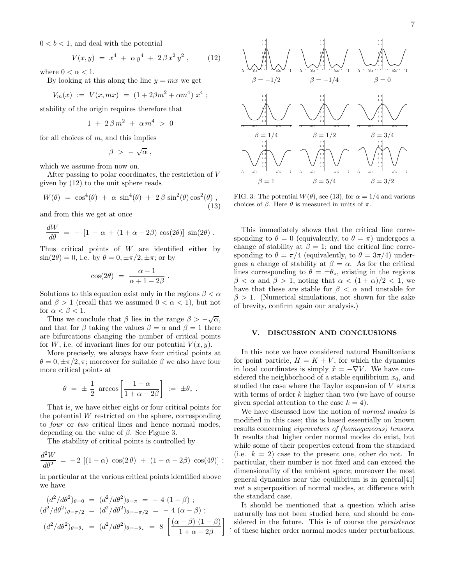$$
V(x,y) = x^4 + \alpha y^4 + 2\beta x^2 y^2 , \qquad (12)
$$

where  $0 < \alpha < 1$ .

By looking at this along the line  $y = mx$  we get

$$
V_m(x) := V(x, mx) = (1 + 2\beta m^2 + \alpha m^4) x^4 ;
$$

stability of the origin requires therefore that

$$
1\,\,+\,\,2\,\beta\,m^2\,\,+\,\,\alpha\,m^4\,\,>\,\,0
$$

for all choices of  $m$ , and this implies

$$
\beta \ > \ -\ \sqrt{\alpha} \ ,
$$

which we assume from now on.

After passing to polar coordinates, the restriction of V given by (12) to the unit sphere reads

$$
W(\theta) = \cos^4(\theta) + \alpha \sin^4(\theta) + 2\beta \sin^2(\theta) \cos^2(\theta) ,
$$
\n(13)

and from this we get at once

$$
\frac{dW}{d\theta} = - [1 - \alpha + (1 + \alpha - 2\beta) \cos(2\theta)] \sin(2\theta).
$$

Thus critical points of  $W$  are identified either by  $\sin(2\theta) = 0$ , i.e. by  $\theta = 0, \pm \pi/2, \pm \pi$ ; or by

$$
\cos(2\theta) = \frac{\alpha - 1}{\alpha + 1 - 2\beta}
$$

.

Solutions to this equation exist only in the regions  $\beta < \alpha$ and  $\beta > 1$  (recall that we assumed  $0 < \alpha < 1$ ), but not for  $\alpha < \beta < 1$ .

Thus we conclude that  $\beta$  lies in the range  $\beta > -\sqrt{\alpha}$ , and that for  $\beta$  taking the values  $\beta = \alpha$  and  $\beta = 1$  there are bifurcations changing the number of critical points for W, i.e. of invariant lines for our potential  $V(x, y)$ .

More precisely, we always have four critical points at  $\theta = 0, \pm \pi/2, \pi$ ; moreover for suitable  $\beta$  we also have four more critical points at

$$
\theta = \pm \frac{1}{2} \arccos \left[ \frac{1-\alpha}{1+\alpha-2\beta} \right] := \pm \theta_* .
$$

That is, we have either eight or four critical points for the potential  $W$  restricted on the sphere, corresponding to four or two critical lines and hence normal modes, depending on the value of  $\beta$ . See Figure 3.

The stability of critical points is controlled by

$$
\frac{d^2W}{d\theta^2} = -2 [(1-\alpha) \cos(2\theta) + (1+\alpha-2\beta) \cos(4\theta)];
$$

in particular at the various critical points identified above we have

$$
(d^2/d\theta^2)_{\theta=0} = (d^2/d\theta^2)_{\theta=\pi} = -4 (1 - \beta) ;
$$
  
\n
$$
(d^2/d\theta^2)_{\theta=\pi/2} = (d^2/d\theta^2)_{\theta=-\pi/2} = -4 (\alpha - \beta) ;
$$
  
\n
$$
(d^2/d\theta^2)_{\theta=\theta_*} = (d^2/d\theta^2)_{\theta=-\theta_*} = 8 \left[ \frac{(\alpha - \beta) (1 - \beta)}{1 + \alpha - 2\beta} \right]
$$



FIG. 3: The potential  $W(\theta)$ , see (13), for  $\alpha = 1/4$  and various choices of β. Here  $\theta$  is measured in units of π.

This immediately shows that the critical line corresponding to  $\theta = 0$  (equivalently, to  $\theta = \pi$ ) undergoes a change of stability at  $\beta = 1$ ; and the critical line corresponding to  $\theta = \pi/4$  (equivalently, to  $\theta = 3\pi/4$ ) undergoes a change of stability at  $\beta = \alpha$ . As for the critical lines corresponding to  $\theta = \pm \theta_*$ , existing in the regions  $\beta < \alpha$  and  $\beta > 1$ , noting that  $\alpha < (1 + \alpha)/2 < 1$ , we have that these are stable for  $\beta < \alpha$  and unstable for  $\beta > 1$ . (Numerical simulations, not shown for the sake of brevity, confirm again our analysis.)

### V. DISCUSSION AND CONCLUSIONS

In this note we have considered natural Hamiltonians for point particle,  $H = K + V$ , for which the dynamics in local coordinates is simply  $\ddot{x} = -\nabla V$ . We have considered the neighborhood of a stable equilibrium  $x_0$ , and studied the case where the Taylor expansion of V starts with terms of order  $k$  higher than two (we have of course given special attention to the case  $k = 4$ .

We have discussed how the notion of *normal modes* is modified in this case; this is based essentially on known results concerning eigenvalues of (homogeneous) tensors. It results that higher order normal modes do exist, but while some of their properties extend from the standard (i.e.  $k = 2$ ) case to the present one, other do not. In particular, their number is not fixed and can exceed the dimensionality of the ambient space; moreover the most general dynamics near the equilibrium is in general[41] not a superposition of normal modes, at difference with the standard case.

It should be mentioned that a question which arise naturally has not been studied here, and should be considered in the future. This is of course the persistence of these higher order normal modes under perturbations,

.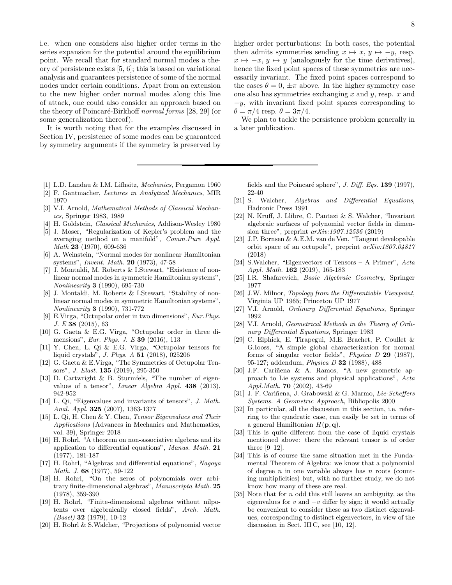i.e. when one considers also higher order terms in the series expansion for the potential around the equilibrium point. We recall that for standard normal modes a theory of persistence exists [5, 6]; this is based on variational analysis and guarantees persistence of some of the normal nodes under certain conditions. Apart from an extension to the new higher order normal modes along this line of attack, one could also consider an approach based on the theory of Poincaré-Birkhoff normal forms [28, 29] (or some generalization thereof).

It is worth noting that for the examples discussed in Section IV, persistence of some modes can be guaranteed by symmetry arguments if the symmetry is preserved by

- [1] L.D. Landau & I.M. Lifhsitz, Mechanics, Pergamon 1960
- [2] F. Gantmacher, Lectures in Analytical Mechanics, MIR 1970
- [3] V.I. Arnold, Mathematical Methods of Classical Mechanics, Springer 1983, 1989
- [4] H. Goldstein, Classical Mechanics, Addison-Wesley 1980
- [5] J. Moser, "Regularization of Kepler's problem and the averaging method on a manifold", Comm.Pure Appl. Math 23 (1970), 609-636
- [6] A. Weinstein, "Normal modes for nonlinear Hamiltonian systems", Invent. Math. 20 (1973), 47-58
- [7] J. Montaldi, M. Roberts & I.Stewart, "Existence of nonlinear normal modes in symmetric Hamiltonian systems", Nonlinearity 3 (1990), 695-730
- [8] J. Montaldi, M. Roberts & I.Stewart, "Stability of nonlinear normal modes in symmetric Hamiltonian systems", Nonlinearity 3 (1990), 731-772
- [9] E.Virga, "Octupolar order in two dimensions", Eur.Phys. J. E 38 (2015), 63
- [10] G. Gaeta & E.G. Virga, "Octupolar order in three dimensions", Eur. Phys. J. E 39 (2016), 113
- [11] Y. Chen, L. Qi & E.G. Virga, "Octupolar tensors for liquid crystals", J. Phys. A 51 (2018), 025206
- [12] G. Gaeta & E.Virga, "The Symmetries of Octupolar Tensors", J. Elast. 135 (2019), 295-350
- [13] D. Cartwright & B. Sturmfels, "The number of eigenvalues of a tensor", Linear Algebra Appl. 438 (2013), 942-952
- [14] L. Qi, "Eigenvalues and invariants of tensors", J. Math. Anal. Appl. 325 (2007), 1363-1377
- [15] L. Qi, H. Chen & Y. Chen, Tensor Eigenvalues and Their Applications (Advances in Mechanics and Mathematics, vol. 39), Springer 2018
- [16] H. Rohrl, "A theorem on non-associative algebras and its application to differential equations", Manus. Math. 21 (1977), 181-187
- [17] H. Rohrl, "Algebras and differential equations", Nagoya Math. J. 68 (1977), 59-122
- [18] H. Rohrl, "On the zeros of polynomials over arbitrary finite-dimensional algebras", Manuscripta Math. 25 (1978), 359-390
- [19] H. Rohrl, "Finite-dimensional algebras without nilpotents over algebraically closed fields", Arch. Math.  $(Basel)$  32 (1979), 10-12
- [20] H. Rohrl & S.Walcher, "Projections of polynomial vector

8

higher order perturbations: In both cases, the potential then admits symmetries sending  $x \mapsto x, y \mapsto -y$ , resp.  $x \mapsto -x, y \mapsto y$  (analogously for the time derivatives), hence the fixed point spaces of these symmetries are necessarily invariant. The fixed point spaces correspond to the cases  $\theta = 0, \pm \pi$  above. In the higher symmetry case one also has symmetries exchanging  $x$  and  $y$ , resp.  $x$  and  $-y$ , with invariant fixed point spaces corresponding to  $\theta = \pi/4$  resp.  $\theta = 3\pi/4$ .

We plan to tackle the persistence problem generally in a later publication.

fields and the Poincaré sphere", J. Diff. Eqs.  $139$  (1997), 22-40

- [21] S. Walcher, Algebras and Differential Equations, Hadronic Press 1991
- [22] N. Kruff, J. Llibre, C. Pantazi & S. Walcher, "Invariant algebraic surfaces of polynomial vector fields in dimension three", preprint arXiv:1907.12536 (2019)
- [23] J.P. Bornsen & A.E.M. van de Ven, "Tangent developable orbit space of an octupole", preprint arXiv:1807.04817 (2018)
- [24] S.Walcher, "Eigenvectors of Tensors A Primer", Acta Appl. Math. 162 (2019), 165-183
- [25] I.R. Shafarevich, Basic Algebraic Geometry, Springer 1977
- [26] J.W. Milnor, *Topology from the Differentiable Viewpoint*, Virginia UP 1965; Princeton UP 1977
- [27] V.I. Arnold, Ordinary Differential Equations, Springer 1992
- [28] V.I. Arnold, *Geometrical Methods in the Theory of Ordi*nary Differential Equations, Springer 1983
- [29] C. Elphick, E. Tirapegui, M.E. Brachet, P. Coullet & G.Iooss, "A simple global characterization for normal forms of singular vector fields", Physica D 29 (1987), 95-127; addendum, Physica D 32 (1988), 488
- [30] J.F. Cariñena & A. Ramos, "A new geometric approach to Lie systems and physical applications", Acta Appl.Math. 70 (2002), 43-69
- [31] J. F. Cariñena, J. Grabowski & G. Marmo, Lie-Scheffers Systems. A Geometric Approach, Bibliopolis 2000
- [32] In particular, all the discussion in this section, i.e. referring to the quadratic case, can easily be set in terms of a general Hamiltonian  $H(\mathbf{p}, \mathbf{q})$ .
- [33] This is quite different from the case of liquid crystals mentioned above: there the relevant tensor is of order three [9–12].
- [34] This is of course the same situation met in the Fundamental Theorem of Algebra: we know that a polynomial of degree  $n$  in one variable always has  $n$  roots (counting multiplicities) but, with no further study, we do not know how many of these are real.
- [35] Note that for n odd this still leaves an ambiguity, as the eigenvalues for  $v$  and  $-v$  differ by sign; it would actually be convenient to consider these as two distinct eigenvalues, corresponding to distinct eigenvectors, in view of the discussion in Sect. III C, see [10, 12].